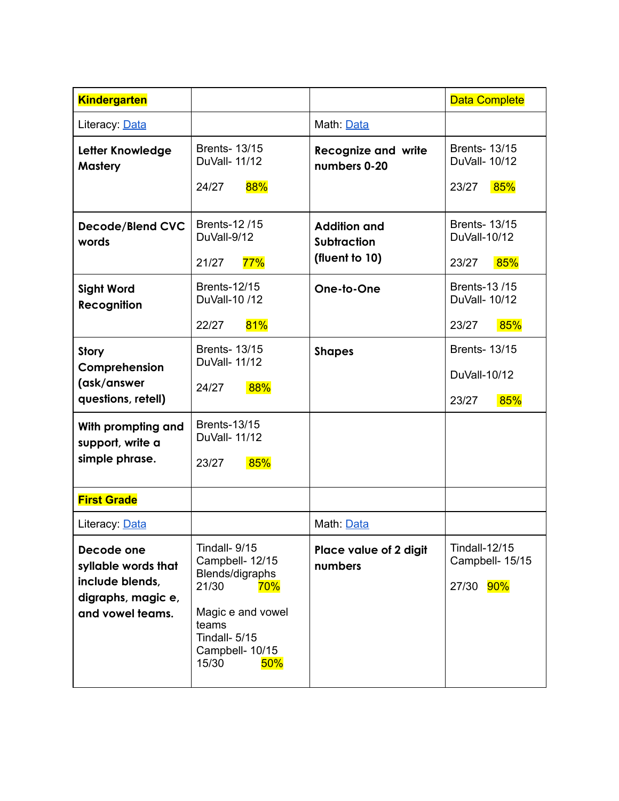| <b>Kindergarten</b>                                                                            |                                                                                                                                                       |                                                             | <b>Data Complete</b>                                    |
|------------------------------------------------------------------------------------------------|-------------------------------------------------------------------------------------------------------------------------------------------------------|-------------------------------------------------------------|---------------------------------------------------------|
| Literacy: Data                                                                                 |                                                                                                                                                       | Math: Data                                                  |                                                         |
| Letter Knowledge<br><b>Mastery</b>                                                             | <b>Brents- 13/15</b><br>DuVall- 11/12<br>88%<br>24/27                                                                                                 | <b>Recognize and write</b><br>numbers 0-20                  | <b>Brents-13/15</b><br>DuVall- 10/12<br>85%<br>23/27    |
| <b>Decode/Blend CVC</b><br>words                                                               | <b>Brents-12/15</b><br>DuVall-9/12<br>77%<br>21/27                                                                                                    | <b>Addition and</b><br><b>Subtraction</b><br>(fluent to 10) | <b>Brents-13/15</b><br>DuVall-10/12<br>85%<br>23/27     |
| <b>Sight Word</b><br><b>Recognition</b>                                                        | <b>Brents-12/15</b><br>DuVall-10 /12<br>81%<br>22/27                                                                                                  | One-to-One                                                  | <b>Brents-13/15</b><br>DuVall- 10/12<br>85%<br>23/27    |
| Story<br>Comprehension<br>(ask/answer<br>questions, retell)                                    | <b>Brents-13/15</b><br>DuVall- 11/12<br>88%<br>24/27                                                                                                  | <b>Shapes</b>                                               | <b>Brents- 13/15</b><br>DuVall-10/12<br>23/27<br>85%    |
| With prompting and<br>support, write a<br>simple phrase.                                       | <b>Brents-13/15</b><br>DuVall- 11/12<br>85%<br>23/27                                                                                                  |                                                             |                                                         |
| <b>First Grade</b>                                                                             |                                                                                                                                                       |                                                             |                                                         |
| Literacy: Data                                                                                 |                                                                                                                                                       | Math: Data                                                  |                                                         |
| Decode one<br>syllable words that<br>include blends,<br>digraphs, magic e,<br>and vowel teams. | Tindall- 9/15<br>Campbell- 12/15<br>Blends/digraphs<br>21/30<br>70%<br>Magic e and vowel<br>teams<br>Tindall- 5/15<br>Campbell- 10/15<br>15/30<br>50% | Place value of 2 digit<br>numbers                           | <b>Tindall-12/15</b><br>Campbell- 15/15<br>90%<br>27/30 |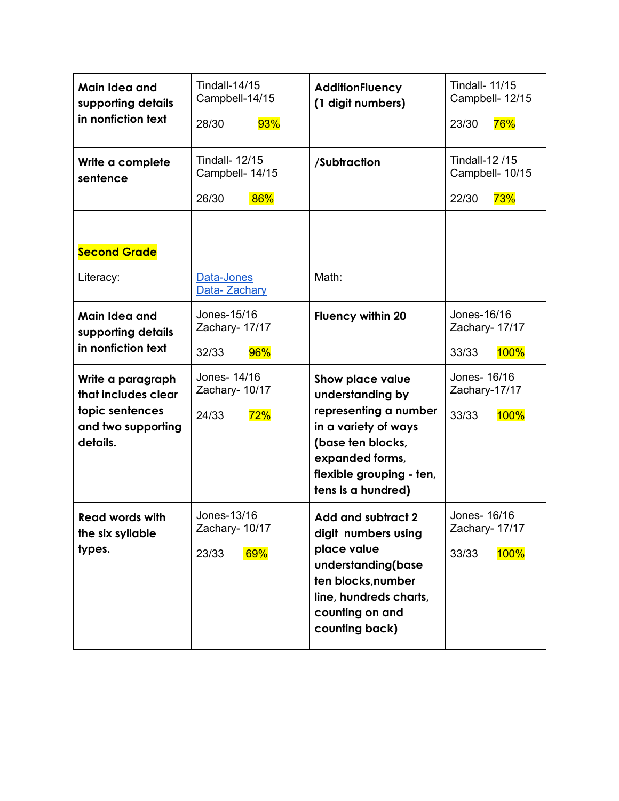| Main Idea and<br>supporting details<br>in nonfiction text                                     | <b>Tindall-14/15</b><br>Campbell-14/15<br>93%<br>28/30   | <b>AdditionFluency</b><br>(1 digit numbers)                                                                                                                                     | <b>Tindall- 11/15</b><br>Campbell- 12/15<br>76%<br>23/30 |
|-----------------------------------------------------------------------------------------------|----------------------------------------------------------|---------------------------------------------------------------------------------------------------------------------------------------------------------------------------------|----------------------------------------------------------|
| Write a complete<br>sentence                                                                  | <b>Tindall- 12/15</b><br>Campbell- 14/15<br>26/30<br>86% | /Subtraction                                                                                                                                                                    | Tindall-12 /15<br>Campbell- 10/15<br>22/30<br>73%        |
| <b>Second Grade</b>                                                                           |                                                          |                                                                                                                                                                                 |                                                          |
| Literacy:                                                                                     | Data-Jones<br>Data- Zachary                              | Math:                                                                                                                                                                           |                                                          |
| Main Idea and<br>supporting details<br>in nonfiction text                                     | Jones-15/16<br>Zachary- 17/17<br>96%<br>32/33            | <b>Fluency within 20</b>                                                                                                                                                        | Jones-16/16<br>Zachary- 17/17<br><b>100%</b><br>33/33    |
| Write a paragraph<br>that includes clear<br>topic sentences<br>and two supporting<br>details. | Jones- 14/16<br>Zachary- 10/17<br>72%<br>24/33           | Show place value<br>understanding by<br>representing a number<br>in a variety of ways<br>(base ten blocks,<br>expanded forms,<br>flexible grouping - ten,<br>tens is a hundred) | Jones- 16/16<br>Zachary-17/17<br>33/33<br><b>100%</b>    |
| <b>Read words with</b><br>the six syllable<br>types.                                          | Jones-13/16<br>Zachary- 10/17<br>69%<br>23/33            | <b>Add and subtract 2</b><br>digit numbers using<br>place value<br>understanding(base<br>ten blocks, number<br>line, hundreds charts,<br>counting on and<br>counting back)      | Jones- 16/16<br>Zachary- 17/17<br><b>100%</b><br>33/33   |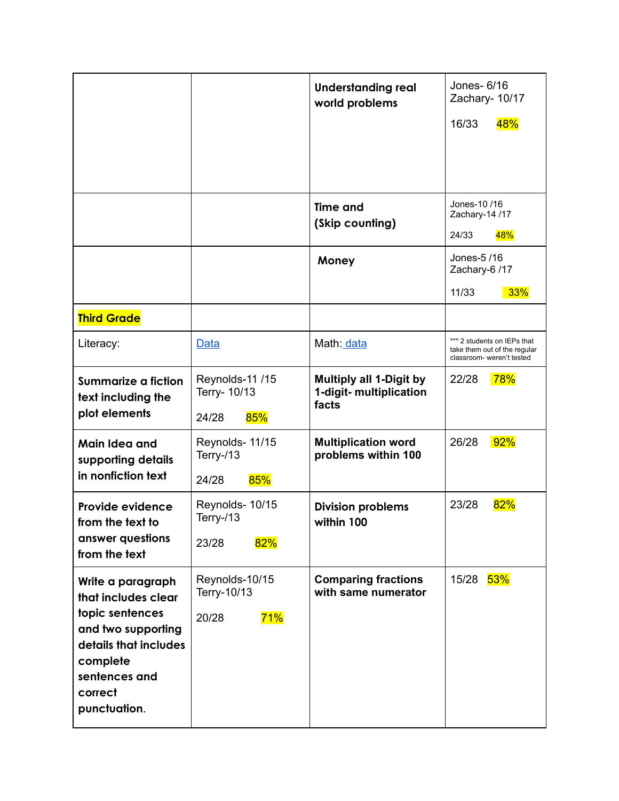|                                                                                                                                                                    |                                                 | <b>Understanding real</b><br>world problems                        | Jones- 6/16<br>Zachary- 10/17<br>48%<br>16/33                                            |
|--------------------------------------------------------------------------------------------------------------------------------------------------------------------|-------------------------------------------------|--------------------------------------------------------------------|------------------------------------------------------------------------------------------|
|                                                                                                                                                                    |                                                 | <b>Time and</b><br>(Skip counting)                                 | Jones-10 /16<br>Zachary-14 /17<br>24/33<br>48%                                           |
|                                                                                                                                                                    |                                                 | Money                                                              | Jones-5/16<br>Zachary-6 /17<br>11/33<br>33%                                              |
| <b>Third Grade</b>                                                                                                                                                 |                                                 |                                                                    |                                                                                          |
| Literacy:                                                                                                                                                          | Data                                            | Math: data                                                         | *** 2 students on IEPs that<br>take them out of the regular<br>classroom- weren't tested |
| <b>Summarize a fiction</b><br>text including the<br>plot elements                                                                                                  | Reynolds-11 /15<br>Terry- 10/13<br>85%<br>24/28 | <b>Multiply all 1-Digit by</b><br>1-digit- multiplication<br>facts | <b>78%</b><br>22/28                                                                      |
| Main Idea and<br>supporting details<br>in nonfiction text                                                                                                          | Reynolds- 11/15<br>Terry-/13<br>85%<br>24/28    | <b>Multiplication word</b><br>problems within 100                  | 26/28<br>92%                                                                             |
| <b>Provide evidence</b><br>from the text to<br>answer questions<br>from the text                                                                                   | Reynolds- 10/15<br>Terry-/13<br>82%<br>23/28    | <b>Division problems</b><br>within 100                             | 82%<br>23/28                                                                             |
| Write a paragraph<br>that includes clear<br>topic sentences<br>and two supporting<br>details that includes<br>complete<br>sentences and<br>correct<br>punctuation. | Reynolds-10/15<br>Terry-10/13<br>71%<br>20/28   | <b>Comparing fractions</b><br>with same numerator                  | 15/28<br>53%                                                                             |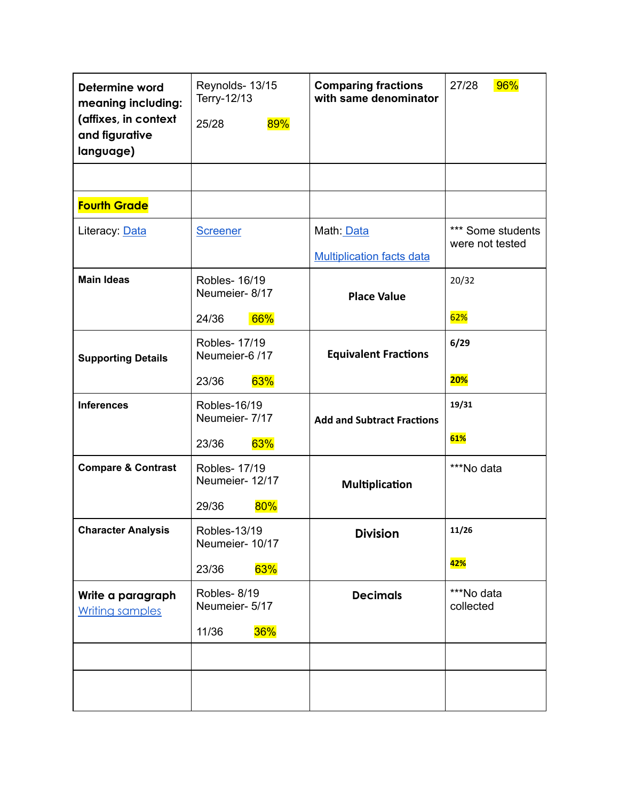| Determine word<br>meaning including:<br>(affixes, in context<br>and figurative<br>language) | Reynolds- 13/15<br>Terry-12/13<br>89%<br>25/28          | <b>Comparing fractions</b><br>with same denominator | 96%<br>27/28                         |
|---------------------------------------------------------------------------------------------|---------------------------------------------------------|-----------------------------------------------------|--------------------------------------|
|                                                                                             |                                                         |                                                     |                                      |
| <b>Fourth Grade</b>                                                                         |                                                         |                                                     |                                      |
| Literacy: Data                                                                              | <b>Screener</b>                                         | Math: Data<br><b>Multiplication facts data</b>      | *** Some students<br>were not tested |
| <b>Main Ideas</b>                                                                           | Robles- 16/19<br>Neumeier-8/17<br>66%<br>24/36          | <b>Place Value</b>                                  | 20/32<br>62%                         |
| <b>Supporting Details</b>                                                                   | <b>Robles- 17/19</b><br>Neumeier-6 /17<br>63%<br>23/36  | <b>Equivalent Fractions</b>                         | 6/29<br><b>20%</b>                   |
| <b>Inferences</b>                                                                           | Robles-16/19<br>Neumeier- 7/17<br>63%<br>23/36          | <b>Add and Subtract Fractions</b>                   | 19/31<br>61%                         |
| <b>Compare &amp; Contrast</b>                                                               | <b>Robles- 17/19</b><br>Neumeier- 12/17<br>80%<br>29/36 | <b>Multiplication</b>                               | ***No data                           |
| <b>Character Analysis</b>                                                                   | <b>Robles-13/19</b><br>Neumeier- 10/17<br>63%<br>23/36  | <b>Division</b>                                     | 11/26<br>42%                         |
| Write a paragraph<br><b>Writing samples</b>                                                 | Robles-8/19<br>Neumeier- 5/17<br>36%<br>11/36           | <b>Decimals</b>                                     | ***No data<br>collected              |
|                                                                                             |                                                         |                                                     |                                      |
|                                                                                             |                                                         |                                                     |                                      |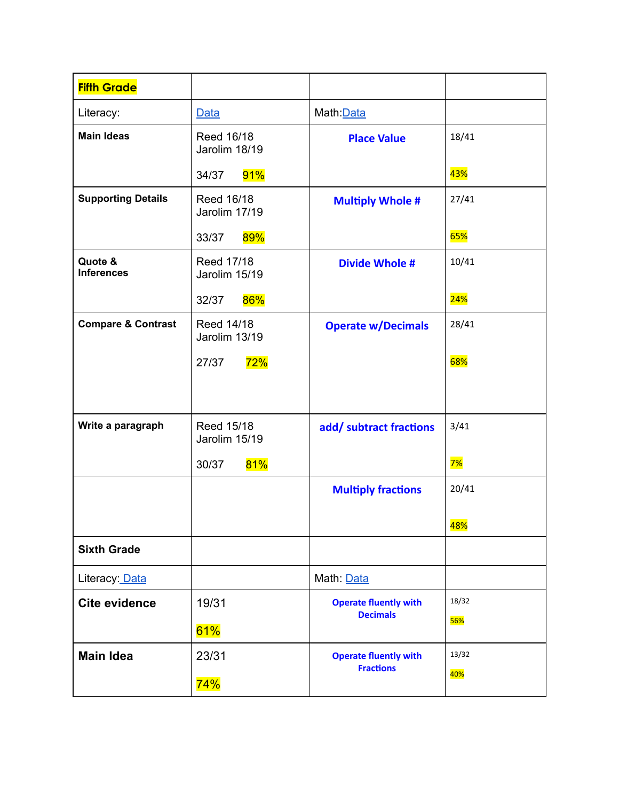| <b>Fifth Grade</b>            |                             |                              |                  |
|-------------------------------|-----------------------------|------------------------------|------------------|
| Literacy:                     | Data                        | Math: Data                   |                  |
| <b>Main Ideas</b>             | Reed 16/18<br>Jarolim 18/19 | <b>Place Value</b>           | 18/41            |
|                               | 91%<br>34/37                |                              | 43%              |
| <b>Supporting Details</b>     | Reed 16/18<br>Jarolim 17/19 | <b>Multiply Whole #</b>      | 27/41            |
|                               | 89%<br>33/37                |                              | <b>65%</b>       |
| Quote &<br><b>Inferences</b>  | Reed 17/18<br>Jarolim 15/19 | <b>Divide Whole #</b>        | 10/41            |
|                               | 86%<br>32/37                |                              | <b>24%</b>       |
| <b>Compare &amp; Contrast</b> | Reed 14/18<br>Jarolim 13/19 | <b>Operate w/Decimals</b>    | 28/41            |
|                               | 72%<br>27/37                |                              | 68%              |
|                               |                             |                              |                  |
| Write a paragraph             | Reed 15/18<br>Jarolim 15/19 | add/ subtract fractions      | 3/41             |
|                               | 81%<br>30/37                |                              | 7%               |
|                               |                             | <b>Multiply fractions</b>    | 20/41            |
|                               |                             |                              | <mark>48%</mark> |
| <b>Sixth Grade</b>            |                             |                              |                  |
| Literacy: Data                |                             | Math: Data                   |                  |
| <b>Cite evidence</b>          | 19/31                       | <b>Operate fluently with</b> | 18/32            |
|                               | 61%                         | <b>Decimals</b>              | <b>56%</b>       |
| <b>Main Idea</b>              | 23/31                       | <b>Operate fluently with</b> | 13/32            |
|                               | 74%                         | <b>Fractions</b>             | 40%              |